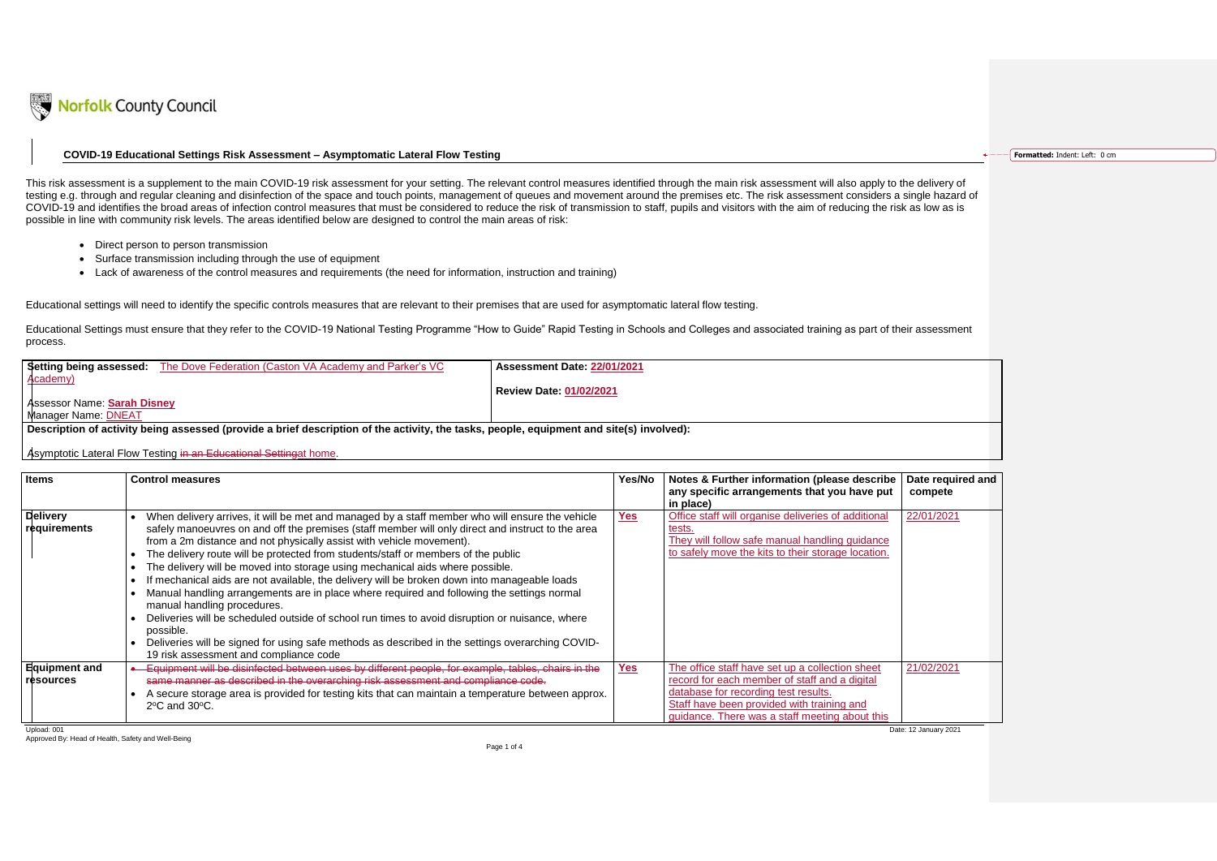

## **COVID-19 Educational Settings Risk Assessment – Asymptomatic Lateral Flow Testing**

- Direct person to person transmission
- Surface transmission including through the use of equipment
- Lack of awareness of the control measures and requirements (the need for information, instruction and training)

|                             | <b>Setting being assessed:</b> The Dove Federation (Caston VA Academy and Parker's VC | Assessment Date: 22/01/2021    |
|-----------------------------|---------------------------------------------------------------------------------------|--------------------------------|
| Academy)                    |                                                                                       | <b>Review Date: 01/02/2021</b> |
| Assessor Name: Sarah Disney |                                                                                       |                                |
| Manager Name: DNEAT         |                                                                                       |                                |

|                                                                  | rfolk County Council                                                                                                                                                                                                                                                                                                                                                                                                                                                                                                                                                                                                                                                                                                                                                                                                                                                                                                                                                                     |        |                                                                                                                                                                       |                              |                                      |
|------------------------------------------------------------------|------------------------------------------------------------------------------------------------------------------------------------------------------------------------------------------------------------------------------------------------------------------------------------------------------------------------------------------------------------------------------------------------------------------------------------------------------------------------------------------------------------------------------------------------------------------------------------------------------------------------------------------------------------------------------------------------------------------------------------------------------------------------------------------------------------------------------------------------------------------------------------------------------------------------------------------------------------------------------------------|--------|-----------------------------------------------------------------------------------------------------------------------------------------------------------------------|------------------------------|--------------------------------------|
|                                                                  | COVID-19 Educational Settings Risk Assessment - Asymptomatic Lateral Flow Testing                                                                                                                                                                                                                                                                                                                                                                                                                                                                                                                                                                                                                                                                                                                                                                                                                                                                                                        |        |                                                                                                                                                                       |                              | <b>Formatted: Indent: Left: 0 cm</b> |
|                                                                  | This risk assessment is a supplement to the main COVID-19 risk assessment for your setting. The relevant control measures identified through the main risk assessment will also apply to the delivery of<br>testing e.g. through and regular cleaning and disinfection of the space and touch points, management of queues and movement around the premises etc. The risk assessment considers a single hazard of<br>COVID-19 and identifies the broad areas of infection control measures that must be considered to reduce the risk of transmission to staff, pupils and visitors with the aim of reducing the risk as low as is<br>possible in line with community risk levels. The areas identified below are designed to control the main areas of risk:                                                                                                                                                                                                                            |        |                                                                                                                                                                       |                              |                                      |
|                                                                  | • Direct person to person transmission                                                                                                                                                                                                                                                                                                                                                                                                                                                                                                                                                                                                                                                                                                                                                                                                                                                                                                                                                   |        |                                                                                                                                                                       |                              |                                      |
|                                                                  | Surface transmission including through the use of equipment<br>Lack of awareness of the control measures and requirements (the need for information, instruction and training)                                                                                                                                                                                                                                                                                                                                                                                                                                                                                                                                                                                                                                                                                                                                                                                                           |        |                                                                                                                                                                       |                              |                                      |
| process.                                                         | Educational settings will need to identify the specific controls measures that are relevant to their premises that are used for asymptomatic lateral flow testing.<br>Educational Settings must ensure that they refer to the COVID-19 National Testing Programme "How to Guide" Rapid Testing in Schools and Colleges and associated training as part of their assessment                                                                                                                                                                                                                                                                                                                                                                                                                                                                                                                                                                                                               |        |                                                                                                                                                                       |                              |                                      |
| Academy)                                                         | Setting being assessed: The Dove Federation (Caston VA Academy and Parker's VC<br>Assessment Date: 22/01/2021                                                                                                                                                                                                                                                                                                                                                                                                                                                                                                                                                                                                                                                                                                                                                                                                                                                                            |        |                                                                                                                                                                       |                              |                                      |
| <b>Assessor Name: Sarah Disney</b><br><b>Manager Name: DNEAT</b> | <b>Review Date: 01/02/2021</b>                                                                                                                                                                                                                                                                                                                                                                                                                                                                                                                                                                                                                                                                                                                                                                                                                                                                                                                                                           |        |                                                                                                                                                                       |                              |                                      |
|                                                                  |                                                                                                                                                                                                                                                                                                                                                                                                                                                                                                                                                                                                                                                                                                                                                                                                                                                                                                                                                                                          |        |                                                                                                                                                                       |                              |                                      |
|                                                                  | Description of activity being assessed (provide a brief description of the activity, the tasks, people, equipment and site(s) involved):                                                                                                                                                                                                                                                                                                                                                                                                                                                                                                                                                                                                                                                                                                                                                                                                                                                 |        |                                                                                                                                                                       |                              |                                      |
|                                                                  | Asymptotic Lateral Flow Testing in an Educational Settingat home.                                                                                                                                                                                                                                                                                                                                                                                                                                                                                                                                                                                                                                                                                                                                                                                                                                                                                                                        |        |                                                                                                                                                                       |                              |                                      |
| ltems                                                            | <b>Control measures</b>                                                                                                                                                                                                                                                                                                                                                                                                                                                                                                                                                                                                                                                                                                                                                                                                                                                                                                                                                                  | Yes/No | Notes & Further information (please describe<br>any specific arrangements that you have put<br>in place)                                                              | Date required and<br>compete |                                      |
| Delivery<br>requirements                                         | • When delivery arrives, it will be met and managed by a staff member who will ensure the vehicle<br>safely manoeuvres on and off the premises (staff member will only direct and instruct to the area<br>from a 2m distance and not physically assist with vehicle movement).<br>The delivery route will be protected from students/staff or members of the public<br>$\bullet$<br>The delivery will be moved into storage using mechanical aids where possible.<br>$\bullet$<br>• If mechanical aids are not available, the delivery will be broken down into manageable loads<br>Manual handling arrangements are in place where required and following the settings normal<br>$\bullet$<br>manual handling procedures.<br>Deliveries will be scheduled outside of school run times to avoid disruption or nuisance, where<br>possible.<br>Deliveries will be signed for using safe methods as described in the settings overarching COVID-<br>19 risk assessment and compliance code | Yes    | Office staff will organise deliveries of additional<br>tests.<br>They will follow safe manual handling guidance<br>to safely move the kits to their storage location. | 22/01/2021                   |                                      |
|                                                                  | • Equipment will be disinfected between uses by different people, for example, tables, chairs in the<br>same manner as described in the overarching risk assessment and compliance code.                                                                                                                                                                                                                                                                                                                                                                                                                                                                                                                                                                                                                                                                                                                                                                                                 | Yes    | The office staff have set up a collection sheet<br>record for each member of staff and a digital                                                                      | 21/02/2021                   |                                      |
| <b>Equipment and</b><br>resources                                | A secure storage area is provided for testing kits that can maintain a temperature between approx.<br>$\bullet$<br>2°C and 30°C.                                                                                                                                                                                                                                                                                                                                                                                                                                                                                                                                                                                                                                                                                                                                                                                                                                                         |        | database for recording test results.<br>Staff have been provided with training and<br>guidance. There was a staff meeting about this                                  |                              |                                      |

| <b>Items</b>                             | <b>Control measures</b>                                                                                                                                                                                                                                                                                                                                                                                                                                                                                                                                                                                                                                                                                                                                                                                                                                                                                                                       | Yes/No     | Notes & Further information (please describe  <br>any specific arrangements that you have put<br>in place)                                                                                                                               | Da<br>СC |
|------------------------------------------|-----------------------------------------------------------------------------------------------------------------------------------------------------------------------------------------------------------------------------------------------------------------------------------------------------------------------------------------------------------------------------------------------------------------------------------------------------------------------------------------------------------------------------------------------------------------------------------------------------------------------------------------------------------------------------------------------------------------------------------------------------------------------------------------------------------------------------------------------------------------------------------------------------------------------------------------------|------------|------------------------------------------------------------------------------------------------------------------------------------------------------------------------------------------------------------------------------------------|----------|
| <b>Delivery</b><br>requirements          | When delivery arrives, it will be met and managed by a staff member who will ensure the vehicle<br>safely manoeuvres on and off the premises (staff member will only direct and instruct to the area<br>from a 2m distance and not physically assist with vehicle movement).<br>The delivery route will be protected from students/staff or members of the public<br>The delivery will be moved into storage using mechanical aids where possible.<br>If mechanical aids are not available, the delivery will be broken down into manageable loads<br>Manual handling arrangements are in place where required and following the settings normal<br>manual handling procedures.<br>Deliveries will be scheduled outside of school run times to avoid disruption or nuisance, where<br>possible.<br>Deliveries will be signed for using safe methods as described in the settings overarching COVID-<br>19 risk assessment and compliance code | <u>Yes</u> | Office staff will organise deliveries of additional<br>tests.<br>They will follow safe manual handling guidance<br>to safely move the kits to their storage location.                                                                    | 22       |
| <b>Equipment and</b><br><b>resources</b> | Equipment will be disinfected between uses by different people, for example, tables, chairs in the<br>same manner as described in the overarching risk assessment and compliance code.<br>A secure storage area is provided for testing kits that can maintain a temperature between approx.<br>$2^{\circ}$ C and $30^{\circ}$ C.                                                                                                                                                                                                                                                                                                                                                                                                                                                                                                                                                                                                             | Yes        | The office staff have set up a collection sheet<br>record for each member of staff and a digital<br>database for recording test results.<br>Staff have been provided with training and<br>guidance. There was a staff meeting about this | 21       |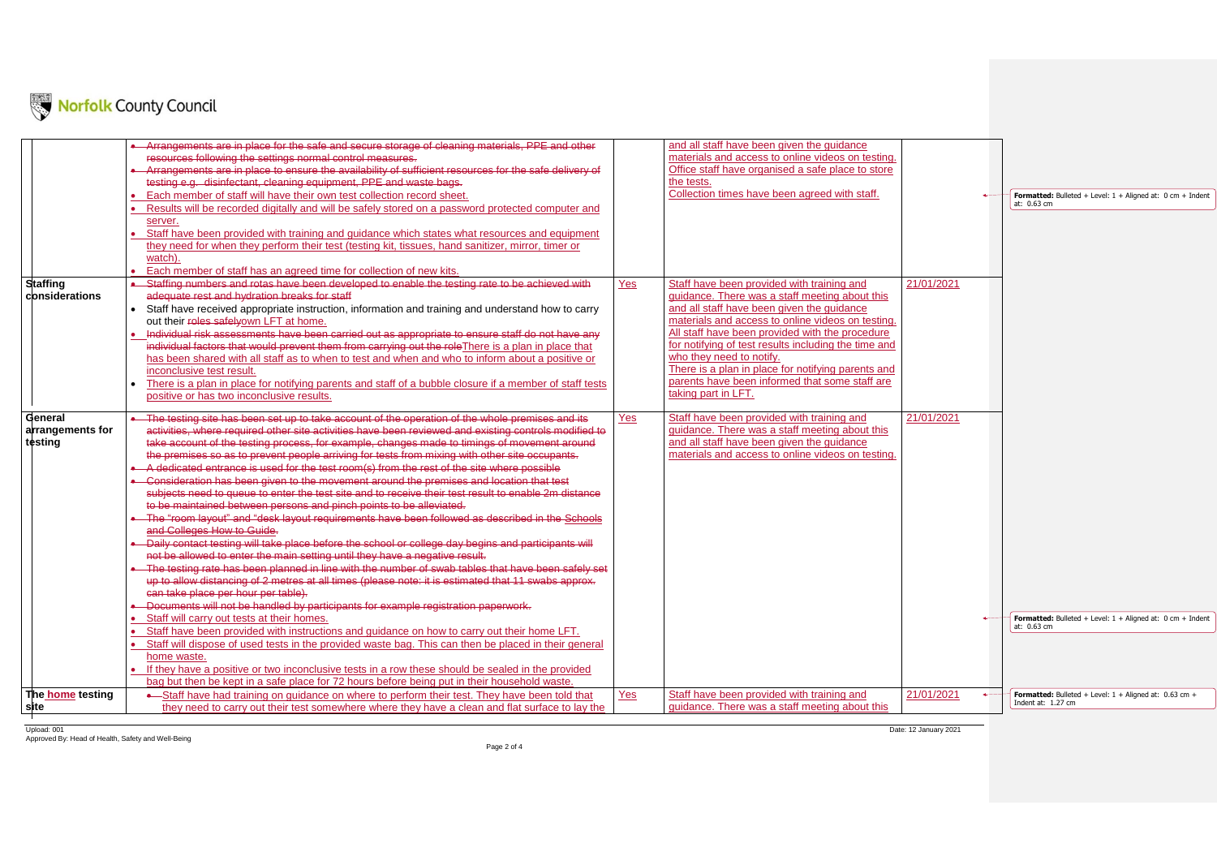Upload: 001 Date: 12 January 2021 Approved By: Head of Health, Safety and Well-Being



|                  | Arrangements are in place for the safe and secure storage of cleaning materials, PPE and other          |     | and all staff have been given the guidance                                       |             |
|------------------|---------------------------------------------------------------------------------------------------------|-----|----------------------------------------------------------------------------------|-------------|
|                  | resources following the settings normal control measures.                                               |     | materials and access to online videos on testing.                                |             |
|                  | Arrangements are in place to ensure the availability of sufficient resources for the safe delivery of   |     | Office staff have organised a safe place to store                                |             |
|                  | testing e.g. disinfectant, cleaning equipment, PPE and waste bags.                                      |     | the tests.                                                                       |             |
|                  | Each member of staff will have their own test collection record sheet.                                  |     | Collection times have been agreed with staff.                                    |             |
|                  | Results will be recorded digitally and will be safely stored on a password protected computer and       |     |                                                                                  |             |
|                  | server.                                                                                                 |     |                                                                                  |             |
|                  | Staff have been provided with training and guidance which states what resources and equipment           |     |                                                                                  |             |
|                  | they need for when they perform their test (testing kit, tissues, hand sanitizer, mirror, timer or      |     |                                                                                  |             |
|                  | watch).                                                                                                 |     |                                                                                  |             |
|                  | Each member of staff has an agreed time for collection of new kits.                                     |     |                                                                                  |             |
| <b>Staffing</b>  | Staffing numbers and rotas have been developed to enable the testing rate to be achieved with           | Yes | Staff have been provided with training and                                       |             |
| considerations   | adequate rest and hydration breaks for staff                                                            |     | guidance. There was a staff meeting about this                                   |             |
|                  | Staff have received appropriate instruction, information and training and understand how to carry       |     | and all staff have been given the guidance                                       |             |
|                  | out their roles safelyown LFT at home.                                                                  |     | materials and access to online videos on testing.                                |             |
|                  | Individual risk assessments have been carried out as appropriate to ensure staff do not have any        |     | All staff have been provided with the procedure                                  |             |
|                  | individual factors that would prevent them from carrying out the role There is a plan in place that     |     | for notifying of test results including the time and<br>who they need to notify. |             |
|                  | has been shared with all staff as to when to test and when and who to inform about a positive or        |     | There is a plan in place for notifying parents and                               |             |
|                  | inconclusive test result.                                                                               |     | parents have been informed that some staff are                                   |             |
|                  | There is a plan in place for notifying parents and staff of a bubble closure if a member of staff tests |     | taking part in LFT.                                                              |             |
|                  | positive or has two inconclusive results.                                                               |     |                                                                                  |             |
| General          | The testing site has been set up to take account of the operation of the whole premises and its         | Yes | Staff have been provided with training and                                       | $2^{\circ}$ |
| arrangements for | activities, where required other site activities have been reviewed and existing controls modified to   |     | guidance. There was a staff meeting about this                                   |             |
| testing          | take account of the testing process, for example, changes made to timings of movement around            |     | and all staff have been given the guidance                                       |             |
|                  | the premises so as to prevent people arriving for tests from mixing with other site occupants.          |     | materials and access to online videos on testing.                                |             |
|                  | A dedicated entrance is used for the test room(s) from the rest of the site where possible              |     |                                                                                  |             |
|                  | Consideration has been given to the movement around the premises and location that test                 |     |                                                                                  |             |
|                  | subjects need to queue to enter the test site and to receive their test result to enable 2m distance    |     |                                                                                  |             |
|                  | to be maintained between persons and pinch points to be alleviated.                                     |     |                                                                                  |             |
|                  | The "room layout" and "desk layout requirements have been followed as described in the Schools          |     |                                                                                  |             |
|                  | and Colleges How to Guide.                                                                              |     |                                                                                  |             |
|                  | Daily contact testing will take place before the school or college day begins and participants will     |     |                                                                                  |             |
|                  | not be allowed to enter the main setting until they have a negative result.                             |     |                                                                                  |             |
|                  | The testing rate has been planned in line with the number of swab tables that have been safely set      |     |                                                                                  |             |
|                  | up to allow distancing of 2 metres at all times (please note: it is estimated that 11 swabs approx.     |     |                                                                                  |             |
|                  | can take place per hour per table).                                                                     |     |                                                                                  |             |
|                  | • Documents will not be handled by participants for example registration paperwork.                     |     |                                                                                  |             |
|                  | • Staff will carry out tests at their homes.                                                            |     |                                                                                  |             |
|                  | Staff have been provided with instructions and guidance on how to carry out their home LFT.             |     |                                                                                  |             |
|                  | Staff will dispose of used tests in the provided waste bag. This can then be placed in their general    |     |                                                                                  |             |
|                  | home waste.                                                                                             |     |                                                                                  |             |
|                  | If they have a positive or two inconclusive tests in a row these should be sealed in the provided       |     |                                                                                  |             |
|                  | bag but then be kept in a safe place for 72 hours before being put in their household waste.            |     |                                                                                  |             |
| The home testing | • Staff have had training on quidance on where to perform their test. They have been told that          | Yes | Staff have been provided with training and                                       | $2^{\circ}$ |
| site             | they need to carry out their test somewhere where they have a clean and flat surface to lay the         |     | guidance. There was a staff meeting about this                                   |             |
|                  |                                                                                                         |     |                                                                                  |             |

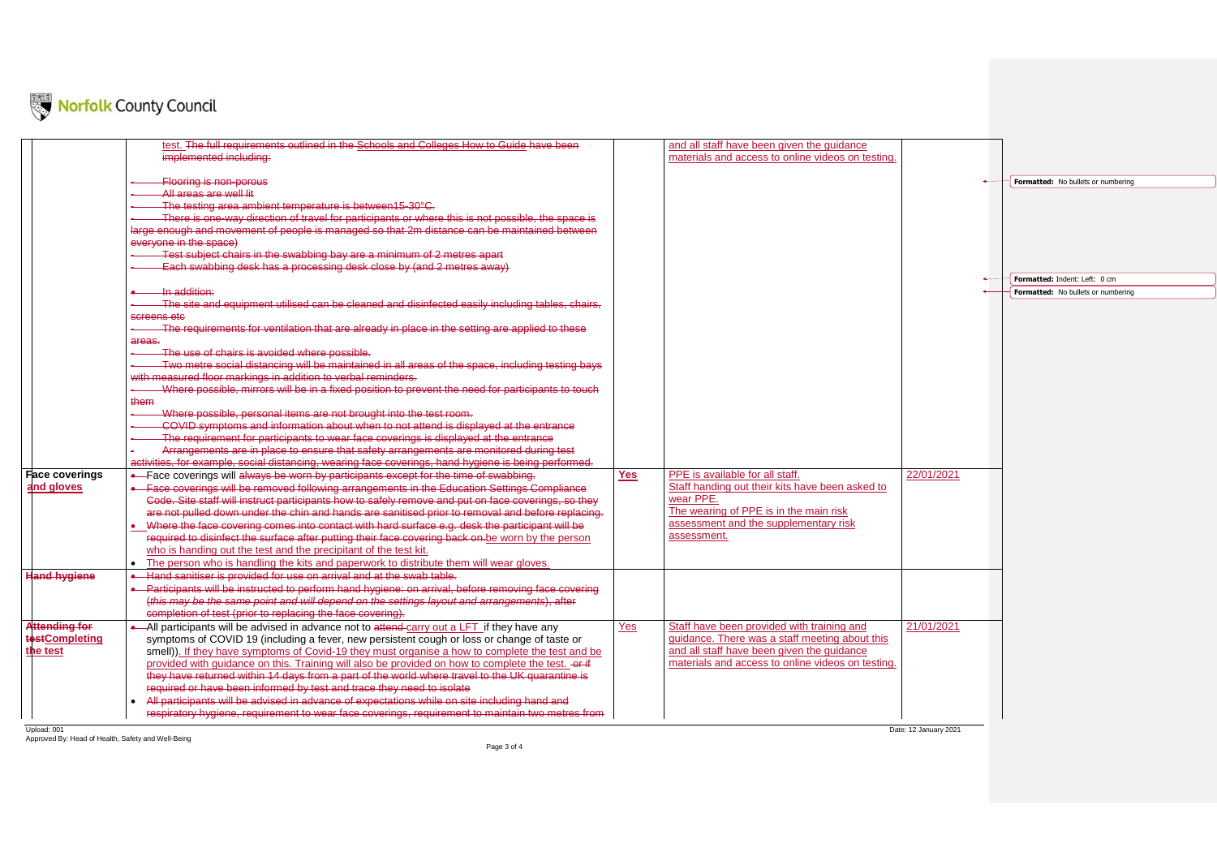Upload: 001 Date: 12 January 2021 Approved By: Head of Health, Safety and Well-Being



|                       | test. The full requirements outlined in the Schools and Colleges How to Guide have been                   |            | and all staff have been given the guidance        |  |
|-----------------------|-----------------------------------------------------------------------------------------------------------|------------|---------------------------------------------------|--|
|                       | implemented including:                                                                                    |            | materials and access to online videos on testing  |  |
|                       |                                                                                                           |            |                                                   |  |
|                       | <b>Flooring is non-porous</b>                                                                             |            |                                                   |  |
|                       | All areas are well lit                                                                                    |            |                                                   |  |
|                       | The testing area ambient temperature is between15-30°C.                                                   |            |                                                   |  |
|                       | There is one-way direction of travel for participants or where this is not possible, the space is         |            |                                                   |  |
|                       | large enough and movement of people is managed so that 2m distance can be maintained between              |            |                                                   |  |
|                       | everyone in the space)                                                                                    |            |                                                   |  |
|                       | Test subject chairs in the swabbing bay are a minimum of 2 metres apart                                   |            |                                                   |  |
|                       | Each swabbing desk has a processing desk close by (and 2 metres away)                                     |            |                                                   |  |
|                       |                                                                                                           |            |                                                   |  |
|                       | In addition:                                                                                              |            |                                                   |  |
|                       | The site and equipment utilised can be cleaned and disinfected easily including tables, chairs,           |            |                                                   |  |
|                       | screens etc                                                                                               |            |                                                   |  |
|                       | The requirements for ventilation that are already in place in the setting are applied to these            |            |                                                   |  |
|                       | areas.                                                                                                    |            |                                                   |  |
|                       | The use of chairs is avoided where possible.                                                              |            |                                                   |  |
|                       | Two metre social distancing will be maintained in all areas of the space, including testing bays          |            |                                                   |  |
|                       | with measured floor markings in addition to verbal reminders.                                             |            |                                                   |  |
|                       | Where possible, mirrors will be in a fixed position to prevent the need for participants to touch         |            |                                                   |  |
|                       | them                                                                                                      |            |                                                   |  |
|                       | Where possible, personal items are not brought into the test room.                                        |            |                                                   |  |
|                       | COVID symptoms and information about when to not attend is displayed at the entrance                      |            |                                                   |  |
|                       | The requirement for participants to wear face coverings is displayed at the entrance                      |            |                                                   |  |
|                       | Arrangements are in place to ensure that safety arrangements are monitored during test                    |            |                                                   |  |
|                       | activities, for example, social distancing, wearing face coverings, hand hygiene is being performed.      |            |                                                   |  |
| <b>Face coverings</b> | -Face coverings will always be worn by participants except for the time of swabbing.                      | <b>Yes</b> | PPE is available for all staff.                   |  |
| and gloves            | Face coverings will be removed following arrangements in the Education Settings Compliance                |            | Staff handing out their kits have been asked to   |  |
|                       | Code. Site staff will instruct participants how to safely remove and put on face coverings, so they       |            | wear PPE.                                         |  |
|                       | are not pulled down under the chin and hands are sanitised prior to removal and before replacing.         |            | The wearing of PPE is in the main risk            |  |
|                       | Where the face covering comes into contact with hard surface e.g. desk the participant will be            |            | assessment and the supplementary risk             |  |
|                       | required to disinfect the surface after putting their face covering back on be worn by the person         |            | assessment.                                       |  |
|                       | who is handing out the test and the precipitant of the test kit.                                          |            |                                                   |  |
|                       | The person who is handling the kits and paperwork to distribute them will wear gloves.<br>$\bullet$       |            |                                                   |  |
| <b>Hand hygiene</b>   | Hand sanitiser is provided for use on arrival and at the swab table.                                      |            |                                                   |  |
|                       | Participants will be instructed to perform hand hygiene: on arrival, before removing face covering        |            |                                                   |  |
|                       | (this may be the same point and will depend on the settings layout and arrangements), after               |            |                                                   |  |
|                       | completion of test (prior to replacing the face covering).                                                |            |                                                   |  |
| <b>Attending for</b>  | -All participants will be advised in advance not to attend-carry out a LFT if they have any               | Yes        | Staff have been provided with training and        |  |
| <b>testCompleting</b> | symptoms of COVID 19 (including a fever, new persistent cough or loss or change of taste or               |            | guidance. There was a staff meeting about this    |  |
| the test              | smell)). If they have symptoms of Covid-19 they must organise a how to complete the test and be           |            | and all staff have been given the guidance        |  |
|                       | provided with guidance on this. Training will also be provided on how to complete the test. -or-if        |            | materials and access to online videos on testing. |  |
|                       | they have returned within 14 days from a part of the world where travel to the UK quarantine is           |            |                                                   |  |
|                       | required or have been informed by test and trace they need to isolate                                     |            |                                                   |  |
|                       | All participants will be advised in advance of expectations while on site including hand and<br>$\bullet$ |            |                                                   |  |
|                       | respiratory hygiene, requirement to wear face coverings, requirement to maintain two metres from          |            |                                                   |  |
|                       |                                                                                                           |            |                                                   |  |